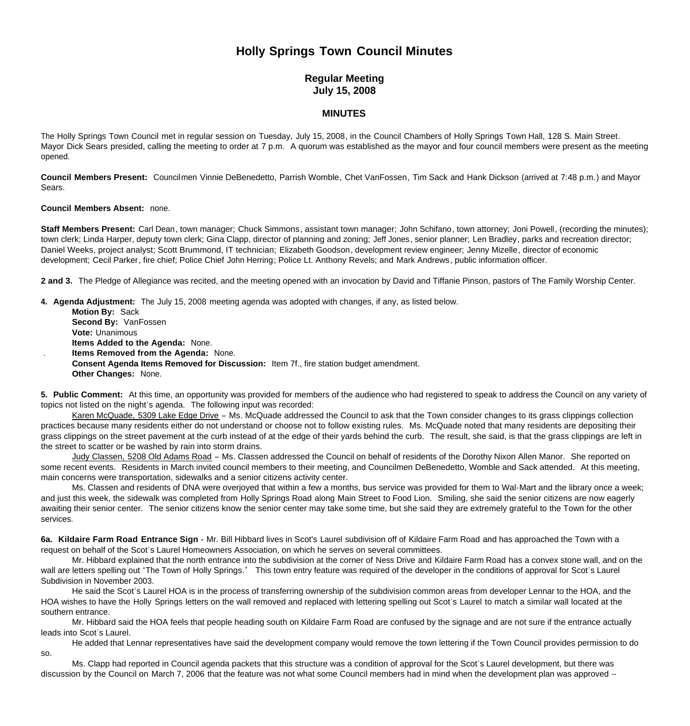# **Holly Springs Town Council Minutes**

## **Regular Meeting July 15, 2008**

### **MINUTES**

The Holly Springs Town Council met in regular session on Tuesday, July 15, 2008, in the Council Chambers of Holly Springs Town Hall, 128 S. Main Street. Mayor Dick Sears presided, calling the meeting to order at 7 p.m. A quorum was established as the mayor and four council members were present as the meeting opened.

**Council Members Present:** Councilmen Vinnie DeBenedetto, Parrish Womble, Chet VanFossen, Tim Sack and Hank Dickson (arrived at 7:48 p.m.) and Mayor Sears.

#### **Council Members Absent:** none.

**Staff Members Present:** Carl Dean, town manager; Chuck Simmons, assistant town manager; John Schifano, town attorney; Joni Powell, (recording the minutes); town clerk; Linda Harper, deputy town clerk; Gina Clapp, director of planning and zoning; Jeff Jones, senior planner; Len Bradley, parks and recreation director; Daniel Weeks, project analyst; Scott Brummond, IT technician; Elizabeth Goodson, development review engineer; Jenny Mizelle, director of economic development; Cecil Parker, fire chief; Police Chief John Herring; Police Lt. Anthony Revels; and Mark Andrews, public information officer.

**2 and 3.** The Pledge of Allegiance was recited, and the meeting opened with an invocation by David and Tiffanie Pinson, pastors of The Family Worship Center.

**4. Agenda Adjustment:** The July 15, 2008 meeting agenda was adopted with changes, if any, as listed below.

 **Motion By:** Sack **Second By:** VanFossen **Vote:** Unanimous **Items Added to the Agenda:** None. . **Items Removed from the Agenda:** None. **Consent Agenda Items Removed for Discussion:** Item 7f., fire station budget amendment. **Other Changes:** None.

**5. Public Comment:** At this time, an opportunity was provided for members of the audience who had registered to speak to address the Council on any variety of topics not listed on the night's agenda. The following input was recorded:

Karen McQuade, 5309 Lake Edge Drive – Ms. McQuade addressed the Council to ask that the Town consider changes to its grass clippings collection practices because many residents either do not understand or choose not to follow existing rules. Ms. McQuade noted that many residents are depositing their grass clippings on the street pavement at the curb instead of at the edge of their yards behind the curb. The result, she said, is that the grass clippings are left in the street to scatter or be washed by rain into storm drains.

Judy Classen, 5208 Old Adams Road - Ms. Classen addressed the Council on behalf of residents of the Dorothy Nixon Allen Manor. She reported on some recent events. Residents in March invited council members to their meeting, and Councilmen DeBenedetto, Womble and Sack attended. At this meeting, main concerns were transportation, sidewalks and a senior citizens activity center.

Ms. Classen and residents of DNA were overjoyed that within a few a months, bus service was provided for them to Wal-Mart and the library once a week; and just this week, the sidewalk was completed from Holly Springs Road along Main Street to Food Lion. Smiling, she said the senior citizens are now eagerly awaiting their senior center. The senior citizens know the senior center may take some time, but she said they are extremely grateful to the Town for the other services.

**6a. Kildaire Farm Road Entrance Sign -** Mr. Bill Hibbard lives in Scot's Laurel subdivision off of Kildaire Farm Road and has approached the Town with a request on behalf of the Scot's Laurel Homeowners Association, on which he serves on several committees.

 Mr. Hibbard explained that the north entrance into the subdivision at the corner of Ness Drive and Kildaire Farm Road has a convex stone wall, and on the wall are letters spelling out "The Town of Holly Springs." This town entry feature was required of the developer in the conditions of approval for Scot's Laurel Subdivision in November 2003.

 He said the Scot's Laurel HOA is in the process of transferring ownership of the subdivision common areas from developer Lennar to the HOA, and the HOA wishes to have the Holly Springs letters on the wall removed and replaced with lettering spelling out Scot's Laurel to match a similar wall located at the southern entrance.

 Mr. Hibbard said the HOA feels that people heading south on Kildaire Farm Road are confused by the signage and are not sure if the entrance actually leads into Scot's Laurel.

 He added that Lennar representatives have said the development company would remove the town lettering if the Town Council provides permission to do so.

 Ms. Clapp had reported in Council agenda packets that this structure was a condition of approval for the Scot's Laurel development, but there was discussion by the Council on March 7, 2006 that the feature was not what some Council members had in mind when the development plan was approved --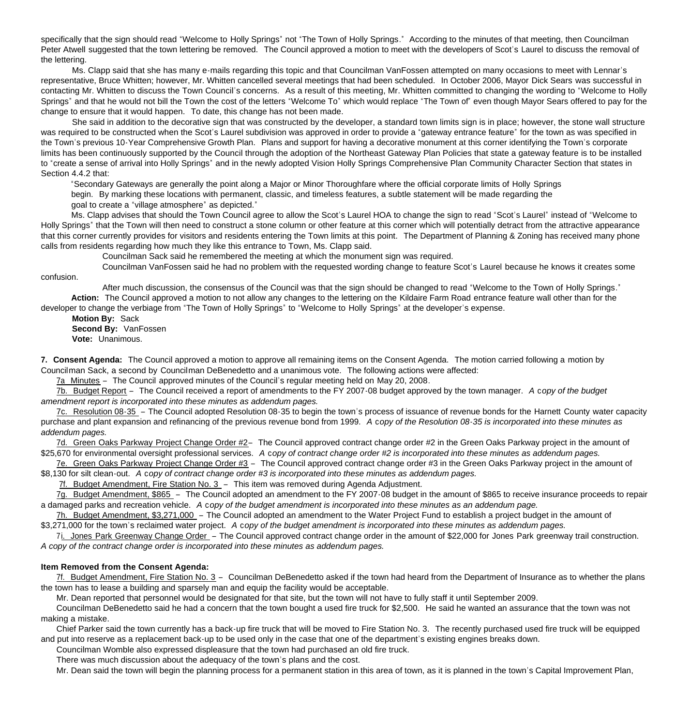specifically that the sign should read "Welcome to Holly Springs" not "The Town of Holly Springs." According to the minutes of that meeting, then Councilman Peter Atwell suggested that the town lettering be removed. The Council approved a motion to meet with the developers of Scot's Laurel to discuss the removal of the lettering.

 Ms. Clapp said that she has many e-mails regarding this topic and that Councilman VanFossen attempted on many occasions to meet with Lennar's representative, Bruce Whitten; however, Mr. Whitten cancelled several meetings that had been scheduled. In October 2006, Mayor Dick Sears was successful in contacting Mr. Whitten to discuss the Town Council's concerns. As a result of this meeting, Mr. Whitten committed to changing the wording to "Welcome to Holly Springs" and that he would not bill the Town the cost of the letters "Welcome To" which would replace "The Town of" even though Mayor Sears offered to pay for the change to ensure that it would happen. To date, this change has not been made.

She said in addition to the decorative sign that was constructed by the developer, a standard town limits sign is in place; however, the stone wall structure was required to be constructed when the Scot's Laurel subdivision was approved in order to provide a "gateway entrance feature" for the town as was specified in the Town's previous 10-Year Comprehensive Growth Plan. Plans and support for having a decorative monument at this corner identifying the Town's corporate limits has been continuously supported by the Council through the adoption of the Northeast Gateway Plan Policies that state a gateway feature is to be installed to "create a sense of arrival into Holly Springs" and in the newly adopted Vision Holly Springs Comprehensive Plan Community Character Section that states in Section 4.4.2 that:

"Secondary Gateways are generally the point along a Major or Minor Thoroughfare where the official corporate limits of Holly Springs begin. By marking these locations with permanent, classic, and timeless features, a subtle statement will be made regarding the goal to create a "village atmosphere" as depicted."

Ms. Clapp advises that should the Town Council agree to allow the Scot's Laurel HOA to change the sign to read "Scot's Laurel" instead of "Welcome to Holly Springs" that the Town will then need to construct a stone column or other feature at this corner which will potentially detract from the attractive appearance that this corner currently provides for visitors and residents entering the Town limits at this point. The Department of Planning & Zoning has received many phone calls from residents regarding how much they like this entrance to Town, Ms. Clapp said.

Councilman Sack said he remembered the meeting at which the monument sign was required.

 Councilman VanFossen said he had no problem with the requested wording change to feature Scot's Laurel because he knows it creates some confusion.

 After much discussion, the consensus of the Council was that the sign should be changed to read "Welcome to the Town of Holly Springs." **Action:** The Council approved a motion to not allow any changes to the lettering on the Kildaire Farm Road entrance feature wall other than for the developer to change the verbiage from "The Town of Holly Springs" to "Welcome to Holly Springs" at the developer's expense.

**Motion By:** Sack **Second By:** VanFossen **Vote:** Unanimous.

**7. Consent Agenda:** The Council approved a motion to approve all remaining items on the Consent Agenda. The motion carried following a motion by Councilman Sack, a second by Councilman DeBenedetto and a unanimous vote. The following actions were affected:

7a Minutes – The Council approved minutes of the Council's regular meeting held on May 20, 2008.

7b. Budget Report – The Council received a report of amendments to the FY 2007-08 budget approved by the town manager. *A* c*opy of the budget amendment report is incorporated into these minutes as addendum pages.*

7c. Resolution 08-35 – The Council adopted Resolution 08-35 to begin the town's process of issuance of revenue bonds for the Harnett County water capacity purchase and plant expansion and refinancing of the previous revenue bond from 1999. *A* c*opy of the Resolution 08-35 is incorporated into these minutes as addendum pages.*

7d. Green Oaks Parkway Project Change Order #2– The Council approved contract change order #2 in the Green Oaks Parkway project in the amount of \$25,670 for environmental oversight professional services. *A* c*opy of contract change order #2 is incorporated into these minutes as addendum pages.*

7e. Green Oaks Parkway Project Change Order #3 – The Council approved contract change order #3 in the Green Oaks Parkway project in the amount of \$8,130 for silt clean-out. *A* c*opy of contract change order #3 is incorporated into these minutes as addendum pages.*

7f. Budget Amendment, Fire Station No. 3 – This item was removed during Agenda Adjustment.

 7g. Budget Amendment, \$865 – The Council adopted an amendment to the FY 2007-08 budget in the amount of \$865 to receive insurance proceeds to repair a damaged parks and recreation vehicle. *A* c*opy of the budget amendment is incorporated into these minutes as an addendum page.*

 7h. Budget Amendment, \$3,271,000 – The Council adopted an amendment to the Water Project Fund to establish a project budget in the amount of \$3,271,000 for the town's reclaimed water project. *A* c*opy of the budget amendment is incorporated into these minutes as addendum pages.*

 7i. Jones Park Greenway Change Order – The Council approved contract change order in the amount of \$22,000 for Jones Park greenway trail construction. *A copy of the contract change order is incorporated into these minutes as addendum pages.*

#### **Item Removed from the Consent Agenda:**

 7f. Budget Amendment, Fire Station No. 3 – Councilman DeBenedetto asked if the town had heard from the Department of Insurance as to whether the plans the town has to lease a building and sparsely man and equip the facility would be acceptable.

Mr. Dean reported that personnel would be designated for that site, but the town will not have to fully staff it until September 2009.

 Councilman DeBenedetto said he had a concern that the town bought a used fire truck for \$2,500. He said he wanted an assurance that the town was not making a mistake.

 Chief Parker said the town currently has a back-up fire truck that will be moved to Fire Station No. 3. The recently purchased used fire truck will be equipped and put into reserve as a replacement back-up to be used only in the case that one of the department's existing engines breaks down.

Councilman Womble also expressed displeasure that the town had purchased an old fire truck.

There was much discussion about the adequacy of the town's plans and the cost.

Mr. Dean said the town will begin the planning process for a permanent station in this area of town, as it is planned in the town's Capital Improvement Plan,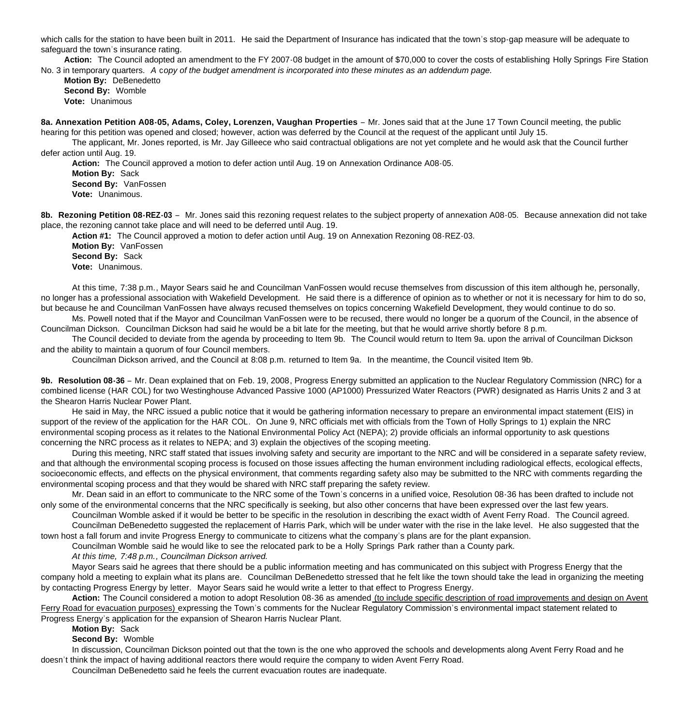which calls for the station to have been built in 2011. He said the Department of Insurance has indicated that the town's stop-gap measure will be adequate to safeguard the town's insurance rating.

 **Action:** The Council adopted an amendment to the FY 2007-08 budget in the amount of \$70,000 to cover the costs of establishing Holly Springs Fire Station No. 3 in temporary quarters. *A* c*opy of the budget amendment is incorporated into these minutes as an addendum page.*

**Motion By: DeBenedetto Second By:** Womble **Vote:** Unanimous

**8a. Annexation Petition A08-05, Adams, Coley, Lorenzen, Vaughan Properties** – Mr. Jones said that at the June 17 Town Council meeting, the public hearing for this petition was opened and closed; however, action was deferred by the Council at the request of the applicant until July 15.

 The applicant, Mr. Jones reported, is Mr. Jay Gilleece who said contractual obligations are not yet complete and he would ask that the Council further defer action until Aug. 19.

**Action:** The Council approved a motion to defer action until Aug. 19 on Annexation Ordinance A08-05.

**Motion By:** Sack **Second By:** VanFossen **Vote:** Unanimous.

**8b. Rezoning Petition 08-REZ-03** – Mr. Jones said this rezoning request relates to the subject property of annexation A08-05. Because annexation did not take place, the rezoning cannot take place and will need to be deferred until Aug. 19.

**Action #1:** The Council approved a motion to defer action until Aug. 19 on Annexation Rezoning 08-REZ-03. **Motion By:** VanFossen

**Second By:** Sack **Vote:** Unanimous.

At this time, 7:38 p.m., Mayor Sears said he and Councilman VanFossen would recuse themselves from discussion of this item although he, personally, no longer has a professional association with Wakefield Development. He said there is a difference of opinion as to whether or not it is necessary for him to do so, but because he and Councilman VanFossen have always recused themselves on topics concerning Wakefield Development, they would continue to do so.

Ms. Powell noted that if the Mayor and Councilman VanFossen were to be recused, there would no longer be a quorum of the Council, in the absence of Councilman Dickson. Councilman Dickson had said he would be a bit late for the meeting, but that he would arrive shortly before 8 p.m.

The Council decided to deviate from the agenda by proceeding to Item 9b. The Council would return to Item 9a. upon the arrival of Councilman Dickson and the ability to maintain a quorum of four Council members.

Councilman Dickson arrived, and the Council at 8:08 p.m. returned to Item 9a. In the meantime, the Council visited Item 9b.

**9b. Resolution 08-36** – Mr. Dean explained that on Feb. 19, 2008, Progress Energy submitted an application to the Nuclear Regulatory Commission (NRC) for a combined license (HAR COL) for two Westinghouse Advanced Passive 1000 (AP1000) Pressurized Water Reactors (PWR) designated as Harris Units 2 and 3 at the Shearon Harris Nuclear Power Plant.

 He said in May, the NRC issued a public notice that it would be gathering information necessary to prepare an environmental impact statement (EIS) in support of the review of the application for the HAR COL. On June 9, NRC officials met with officials from the Town of Holly Springs to 1) explain the NRC environmental scoping process as it relates to the National Environmental Policy Act (NEPA); 2) provide officials an informal opportunity to ask questions concerning the NRC process as it relates to NEPA; and 3) explain the objectives of the scoping meeting.

 During this meeting, NRC staff stated that issues involving safety and security are important to the NRC and will be considered in a separate safety review, and that although the environmental scoping process is focused on those issues affecting the human environment including radiological effects, ecological effects, socioeconomic effects, and effects on the physical environment, that comments regarding safety also may be submitted to the NRC with comments regarding the environmental scoping process and that they would be shared with NRC staff preparing the safety review.

 Mr. Dean said in an effort to communicate to the NRC some of the Town's concerns in a unified voice, Resolution 08-36 has been drafted to include not only some of the environmental concerns that the NRC specifically is seeking, but also other concerns that have been expressed over the last few years.

 Councilman Womble asked if it would be better to be specific in the resolution in describing the exact width of Avent Ferry Road. The Council agreed. Councilman DeBenedetto suggested the replacement of Harris Park, which will be under water with the rise in the lake level. He also suggested that the

town host a fall forum and invite Progress Energy to communicate to citizens what the company's plans are for the plant expansion.

Councilman Womble said he would like to see the relocated park to be a Holly Springs Park rather than a County park.

*At this time, 7:48 p.m., Councilman Dickson arrived.*

 Mayor Sears said he agrees that there should be a public information meeting and has communicated on this subject with Progress Energy that the company hold a meeting to explain what its plans are. Councilman DeBenedetto stressed that he felt like the town should take the lead in organizing the meeting by contacting Progress Energy by letter. Mayor Sears said he would write a letter to that effect to Progress Energy.

**Action:** The Council considered a motion to adopt Resolution 08-36 as amended (to include specific description of road improvements and design on Avent Ferry Road for evacuation purposes) expressing the Town's comments for the Nuclear Regulatory Commission's environmental impact statement related to Progress Energy's application for the expansion of Shearon Harris Nuclear Plant.

**Motion By:** Sack

**Second By:** Womble

In discussion, Councilman Dickson pointed out that the town is the one who approved the schools and developments along Avent Ferry Road and he doesn't think the impact of having additional reactors there would require the company to widen Avent Ferry Road.

Councilman DeBenedetto said he feels the current evacuation routes are inadequate.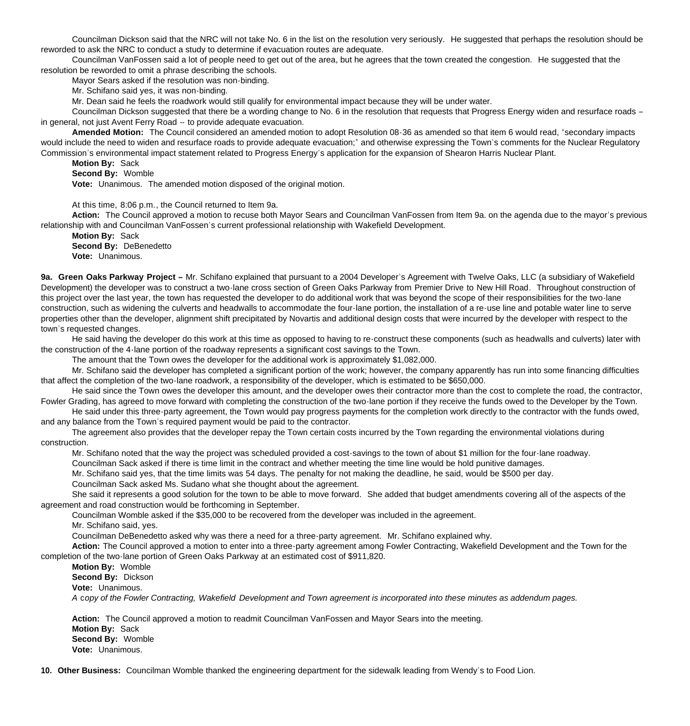Councilman Dickson said that the NRC will not take No. 6 in the list on the resolution very seriously. He suggested that perhaps the resolution should be reworded to ask the NRC to conduct a study to determine if evacuation routes are adequate.

Councilman VanFossen said a lot of people need to get out of the area, but he agrees that the town created the congestion. He suggested that the resolution be reworded to omit a phrase describing the schools.

Mayor Sears asked if the resolution was non-binding.

Mr. Schifano said yes, it was non-binding.

Mr. Dean said he feels the roadwork would still qualify for environmental impact because they will be under water.

Councilman Dickson suggested that there be a wording change to No. 6 in the resolution that requests that Progress Energy widen and resurface roads – in general, not just Avent Ferry Road -- to provide adequate evacuation.

**Amended Motion:** The Council considered an amended motion to adopt Resolution 08-36 as amended so that item 6 would read, "secondary impacts would include the need to widen and resurface roads to provide adequate evacuation;" and otherwise expressing the Town's comments for the Nuclear Regulatory Commission's environmental impact statement related to Progress Energy's application for the expansion of Shearon Harris Nuclear Plant.

**Motion By:** Sack

**Second By:** Womble

**Vote:** Unanimous. The amended motion disposed of the original motion.

At this time, 8:06 p.m., the Council returned to Item 9a.

**Action:** The Council approved a motion to recuse both Mayor Sears and Councilman VanFossen from Item 9a. on the agenda due to the mayor's previous relationship with and Councilman VanFossen's current professional relationship with Wakefield Development.

**Motion By:** Sack **Second By:** DeBenedetto

**Vote:** Unanimous.

**9a. Green Oaks Parkway Project –** Mr. Schifano explained that pursuant to a 2004 Developer's Agreement with Twelve Oaks, LLC (a subsidiary of Wakefield Development) the developer was to construct a two-lane cross section of Green Oaks Parkway from Premier Drive to New Hill Road. Throughout construction of this project over the last year, the town has requested the developer to do additional work that was beyond the scope of their responsibilities for the two-lane construction, such as widening the culverts and headwalls to accommodate the four-lane portion, the installation of a re-use line and potable water line to serve properties other than the developer, alignment shift precipitated by Novartis and additional design costs that were incurred by the developer with respect to the town's requested changes.

 He said having the developer do this work at this time as opposed to having to re-construct these components (such as headwalls and culverts) later with the construction of the 4-lane portion of the roadway represents a significant cost savings to the Town.

The amount that the Town owes the developer for the additional work is approximately \$1,082,000.

 Mr. Schifano said the developer has completed a significant portion of the work; however, the company apparently has run into some financing difficulties that affect the completion of the two-lane roadwork, a responsibility of the developer, which is estimated to be \$650,000.

 He said since the Town owes the developer this amount, and the developer owes their contractor more than the cost to complete the road, the contractor, Fowler Grading, has agreed to move forward with completing the construction of the two-lane portion if they receive the funds owed to the Developer by the Town.

 He said under this three-party agreement, the Town would pay progress payments for the completion work directly to the contractor with the funds owed, and any balance from the Town's required payment would be paid to the contractor.

 The agreement also provides that the developer repay the Town certain costs incurred by the Town regarding the environmental violations during construction.

Mr. Schifano noted that the way the project was scheduled provided a cost-savings to the town of about \$1 million for the four-lane roadway.

Councilman Sack asked if there is time limit in the contract and whether meeting the time line would be hold punitive damages.

Mr. Schifano said yes, that the time limits was 54 days. The penalty for not making the deadline, he said, would be \$500 per day.

Councilman Sack asked Ms. Sudano what she thought about the agreement.

She said it represents a good solution for the town to be able to move forward. She added that budget amendments covering all of the aspects of the agreement and road construction would be forthcoming in September.

Councilman Womble asked if the \$35,000 to be recovered from the developer was included in the agreement.

Mr. Schifano said, yes.

Councilman DeBenedetto asked why was there a need for a three-party agreement. Mr. Schifano explained why.

**Action:** The Council approved a motion to enter into a three-party agreement among Fowler Contracting, Wakefield Development and the Town for the completion of the two-lane portion of Green Oaks Parkway at an estimated cost of \$911,820.

**Motion By:** Womble

**Second By:** Dickson

**Vote:** Unanimous.

 *A* c*opy of the Fowler Contracting, Wakefield Development and Town agreement is incorporated into these minutes as addendum pages.*

 **Action:** The Council approved a motion to readmit Councilman VanFossen and Mayor Sears into the meeting. **Motion By:** Sack **Second By:** Womble **Vote:** Unanimous.

**10. Other Business:** Councilman Womble thanked the engineering department for the sidewalk leading from Wendy's to Food Lion.